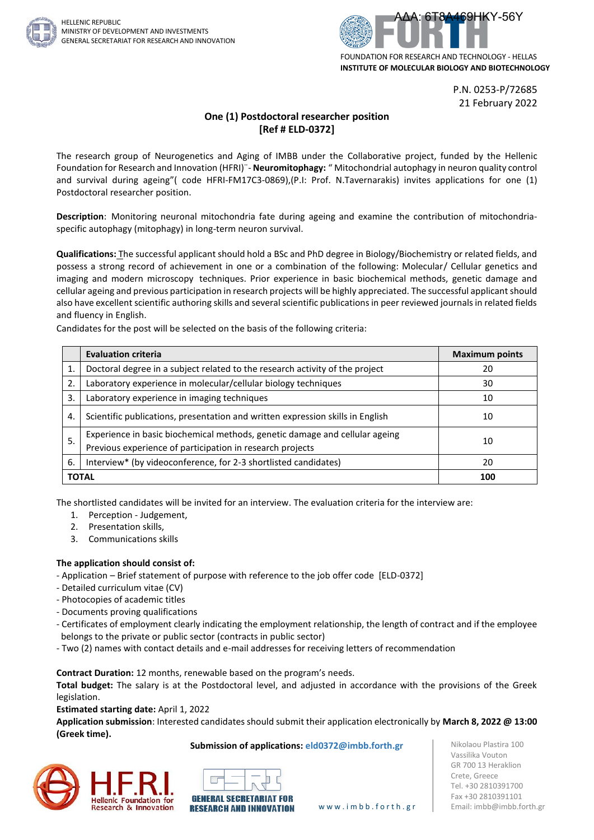



P.N. 0253-P/72685 21 February 2022

# **One (1) Postdoctoral researcher position [Ref # ELD-0372]**

The research group of Neurogenetics and Aging of IMBB under the Collaborative project, funded by the Hellenic Foundation for Research and Innovation (HFRI)¨- **Neuromitophagy:** " Mitochondrial autophagy in neuron quality control and survival during ageing"( code HFRI-FM17C3-0869),(P.I: Prof. N.Tavernarakis) invites applications for one (1) Postdoctoral researcher position.

**Description**: Monitoring neuronal mitochondria fate during ageing and examine the contribution of mitochondriaspecific autophagy (mitophagy) in long-term neuron survival.

**Qualifications:** Τhe successful applicant should hold a BSc and PhD degree in Biology/Biochemistry or related fields, and possess a strong record of achievement in one or a combination of the following: Molecular/ Cellular genetics and imaging and modern microscopy techniques. Prior experience in basic biochemical methods, genetic damage and cellular ageing and previous participation in research projects will be highly appreciated. The successful applicant should also have excellent scientific authoring skills and several scientific publications in peer reviewed journals in related fields and fluency in English.

Candidates for the post will be selected on the basis of the following criteria:

|              | <b>Evaluation criteria</b>                                                                                                               | <b>Maximum points</b> |
|--------------|------------------------------------------------------------------------------------------------------------------------------------------|-----------------------|
| 1.           | Doctoral degree in a subject related to the research activity of the project                                                             | 20                    |
| 2.           | Laboratory experience in molecular/cellular biology techniques                                                                           | 30                    |
| 3.           | Laboratory experience in imaging techniques                                                                                              | 10                    |
| 4.           | Scientific publications, presentation and written expression skills in English                                                           | 10                    |
| 5.           | Experience in basic biochemical methods, genetic damage and cellular ageing<br>Previous experience of participation in research projects | 10                    |
| 6.           | Interview* (by videoconference, for 2-3 shortlisted candidates)                                                                          | 20                    |
| <b>TOTAL</b> |                                                                                                                                          | 100                   |

The shortlisted candidates will be invited for an interview. The evaluation criteria for the interview are:

- 1. Perception Judgement,
- 2. Presentation skills,
- 3. Communications skills

# **The application should consist of:**

- Application Brief statement of purpose with reference to the job offer code [ELD-0372]
- Detailed curriculum vitae (CV)
- Photocopies of academic titles
- Documents proving qualifications
- Certificates of employment clearly indicating the employment relationship, the length of contract and if the employee belongs to the private or public sector (contracts in public sector)
- Two (2) names with contact details and e-mail addresses for receiving letters of recommendation

**Contract Duration:** 12 months, renewable based on the program's needs.

**Total budget:** The salary is at the Postdoctoral level, and adjusted in accordance with the provisions of the Greek legislation.

**Estimated starting date:** April 1, 2022

**Application submission**: Interested candidates should submit their application electronically by **March 8, 2022 @ 13:00 (Greek time).**

## **Submission of applications: eld0372@imbb.forth.gr**







Nikolaou Plastira 100 Vassilika Vouton GR 700 13 Heraklion Crete, Greece Tel. +30 2810391700 Fax +30 2810391101 www.imbb.forth.gr | Email: imbb@imbb.forth.gr